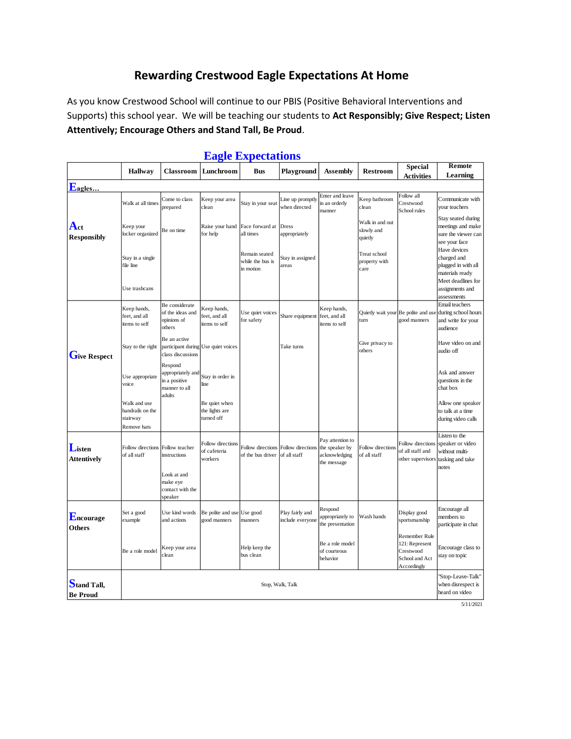## **Rewarding Crestwood Eagle Expectations At Home**

As you know Crestwood School will continue to our PBIS (Positive Behavioral Interventions and Supports) this school year. We will be teaching our students to **Act Responsibly; Give Respect; Listen Attentively; Encourage Others and Stand Tall, Be Proud**.

|                                | <b>Hallway</b>                                              | <b>Classroom</b>                                                         | Lunchroom                                     | Bus                                            | Playground                          | <b>Assembly</b>                                                    | <b>Restroom</b>                          | <b>Special</b>                                                                | Remote                                                                                      |  |
|--------------------------------|-------------------------------------------------------------|--------------------------------------------------------------------------|-----------------------------------------------|------------------------------------------------|-------------------------------------|--------------------------------------------------------------------|------------------------------------------|-------------------------------------------------------------------------------|---------------------------------------------------------------------------------------------|--|
|                                |                                                             |                                                                          |                                               |                                                |                                     |                                                                    |                                          | <b>Activities</b>                                                             | Learning                                                                                    |  |
| Eagles                         |                                                             |                                                                          |                                               |                                                |                                     |                                                                    |                                          |                                                                               |                                                                                             |  |
| $A_{ct}$<br><b>Responsibly</b> | Walk at all times                                           | Come to class<br>prepared                                                | Keep your area<br>clean                       | Stay in your seat                              | Line up promptly<br>when directed   | Enter and leave<br>in an orderly<br>manner                         | Keep bathroom<br>clean                   | Follow all<br>Crestwood<br>School rules                                       | Communicate with<br>your teachers                                                           |  |
|                                | Keep your<br>locker organized                               | Be on time                                                               | Raise your hand<br>for help                   | Face forward at<br>all times                   | <b>Dress</b><br>appropriately       |                                                                    | Walk in and out<br>slowly and<br>quietly |                                                                               | Stay seated during<br>meetings and make<br>sure the viewer can<br>see your face             |  |
|                                | Stay in a single<br>file line                               |                                                                          |                                               | Remain seated<br>while the bus is<br>in motion | Stay in assigned<br>areas           |                                                                    | Treat school<br>property with<br>care    |                                                                               | Have devices<br>charged and<br>plugged in with all<br>materials ready<br>Meet deadlines for |  |
|                                | Use trashcans                                               |                                                                          |                                               |                                                |                                     |                                                                    |                                          |                                                                               | assignments and<br>assessments                                                              |  |
| Give Respect                   | Keep hands,<br>feet, and all<br>items to self               | Be considerate<br>of the ideas and<br>opinions of<br>others              | Keep hands,<br>feet, and all<br>items to self | Use quiet voices<br>for safety                 | Share equipment                     | Keep hands,<br>feet, and all<br>items to self                      | turn                                     | Quietly wait your Be polite and use<br>good manners                           | Email teachers<br>during school hours<br>and write for your<br>audience                     |  |
|                                | Stay to the right                                           | Be an active<br>participant during Use quiet voices<br>class discussions |                                               |                                                | Take turns                          |                                                                    | Give privacy to<br>others                |                                                                               | Have video on and<br>audio off                                                              |  |
|                                | Use appropriate<br>voice                                    | Respond<br>appropriately and<br>in a positive<br>manner to all<br>adults | Stay in order in<br>line                      |                                                |                                     |                                                                    |                                          |                                                                               | Ask and answer<br>questions in the<br>chat box                                              |  |
|                                | Walk and use<br>handrails on the<br>stairway<br>Remove hats |                                                                          | Be quiet when<br>the lights are<br>turned off |                                                |                                     |                                                                    |                                          |                                                                               | Allow one speaker<br>to talk at a time<br>during video calls                                |  |
| Listen<br><b>Attentively</b>   | Follow directions<br>of all staff                           | Follow teacher<br>instructions<br>Look at and                            | Follow directions<br>of cafeteria<br>workers  | Follow directions<br>of the bus driver         | Follow directions<br>of all staff   | Pay attention to<br>the speaker by<br>acknowledging<br>the message | <b>Follow</b> directions<br>of all staff | Follow directions<br>of all staff and<br>other supervisors                    | Listen to the<br>speaker or video<br>without multi-<br>tasking and take<br>notes            |  |
|                                |                                                             | make eye<br>contact with the<br>speaker                                  |                                               |                                                |                                     |                                                                    |                                          |                                                                               |                                                                                             |  |
| Encourage<br>Others            | Set a good<br>example                                       | Use kind words<br>and actions                                            | Be polite and use<br>good manners             | Use good<br>manners                            | Play fairly and<br>include everyone | Respond<br>appropriately to<br>the presentation                    | Wash hands                               | Display good<br>sportsmanship                                                 | Encourage all<br>members to<br>participate in chat                                          |  |
|                                | Be a role model                                             | Keep your area<br>clean                                                  |                                               | Help keep the<br>bus clean                     |                                     | Be a role model<br>of courteous<br>behavior                        |                                          | Remember Rule<br>121: Represent<br>Crestwood<br>School and Act<br>Accordingly | Encourage class to<br>stay on topic                                                         |  |
| Stand Tall,<br><b>Be Proud</b> | when disrespect is<br>Stop, Walk, Talk<br>heard on video    |                                                                          |                                               |                                                |                                     |                                                                    |                                          |                                                                               |                                                                                             |  |

## **Eagle Expectations**

5/11/2021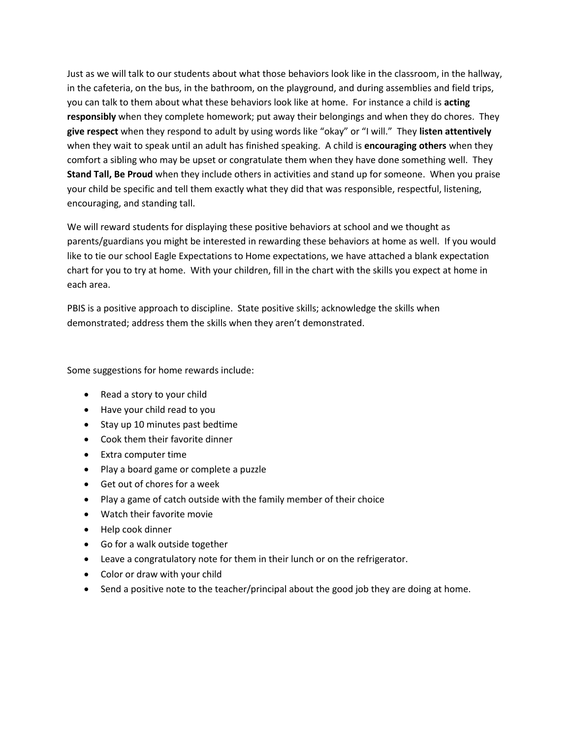Just as we will talk to our students about what those behaviors look like in the classroom, in the hallway, in the cafeteria, on the bus, in the bathroom, on the playground, and during assemblies and field trips, you can talk to them about what these behaviors look like at home. For instance a child is **acting responsibly** when they complete homework; put away their belongings and when they do chores. They **give respect** when they respond to adult by using words like "okay" or "I will." They **listen attentively** when they wait to speak until an adult has finished speaking. A child is **encouraging others** when they comfort a sibling who may be upset or congratulate them when they have done something well. They **Stand Tall, Be Proud** when they include others in activities and stand up for someone. When you praise your child be specific and tell them exactly what they did that was responsible, respectful, listening, encouraging, and standing tall.

We will reward students for displaying these positive behaviors at school and we thought as parents/guardians you might be interested in rewarding these behaviors at home as well. If you would like to tie our school Eagle Expectations to Home expectations, we have attached a blank expectation chart for you to try at home. With your children, fill in the chart with the skills you expect at home in each area.

PBIS is a positive approach to discipline. State positive skills; acknowledge the skills when demonstrated; address them the skills when they aren't demonstrated.

Some suggestions for home rewards include:

- Read a story to your child
- Have your child read to you
- Stay up 10 minutes past bedtime
- Cook them their favorite dinner
- Extra computer time
- Play a board game or complete a puzzle
- Get out of chores for a week
- Play a game of catch outside with the family member of their choice
- Watch their favorite movie
- Help cook dinner
- Go for a walk outside together
- Leave a congratulatory note for them in their lunch or on the refrigerator.
- Color or draw with your child
- Send a positive note to the teacher/principal about the good job they are doing at home.